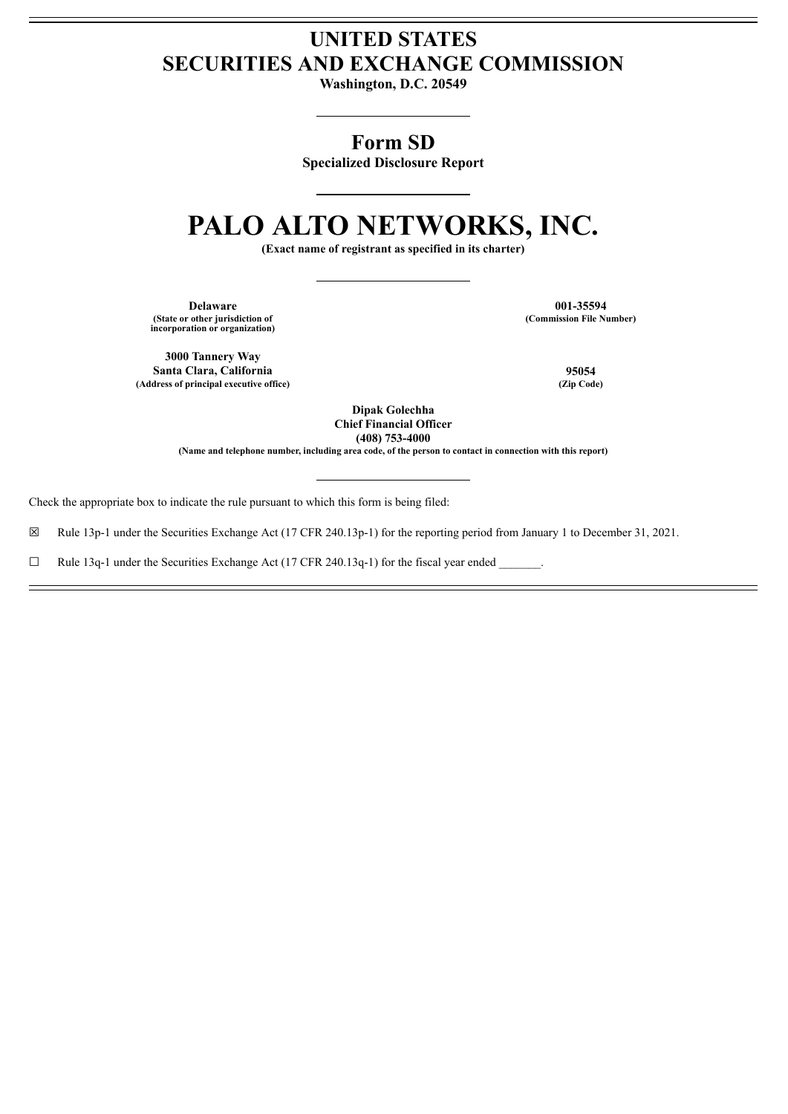# **UNITED STATES SECURITIES AND EXCHANGE COMMISSION**

**Washington, D.C. 20549**

# **Form SD**

**Specialized Disclosure Report**

# **PALO ALTO NETWORKS, INC.**

**(Exact name of registrant as specified in its charter)**

**Delaware 001-35594 (State or other jurisdiction of incorporation or organization)**

**(Commission File Number)**

**3000 Tannery Way Santa Clara, California 95054 (Address of principal executive office) (Zip Code)**

**Dipak Golechha Chief Financial Officer (408) 753-4000**

**(Name and telephone number, including area code, of the person to contact in connection with this report)**

Check the appropriate box to indicate the rule pursuant to which this form is being filed:

☒ Rule 13p-1 under the Securities Exchange Act (17 CFR 240.13p-1) for the reporting period from January 1 to December 31, 2021.

 $\Box$  Rule 13q-1 under the Securities Exchange Act (17 CFR 240.13q-1) for the fiscal year ended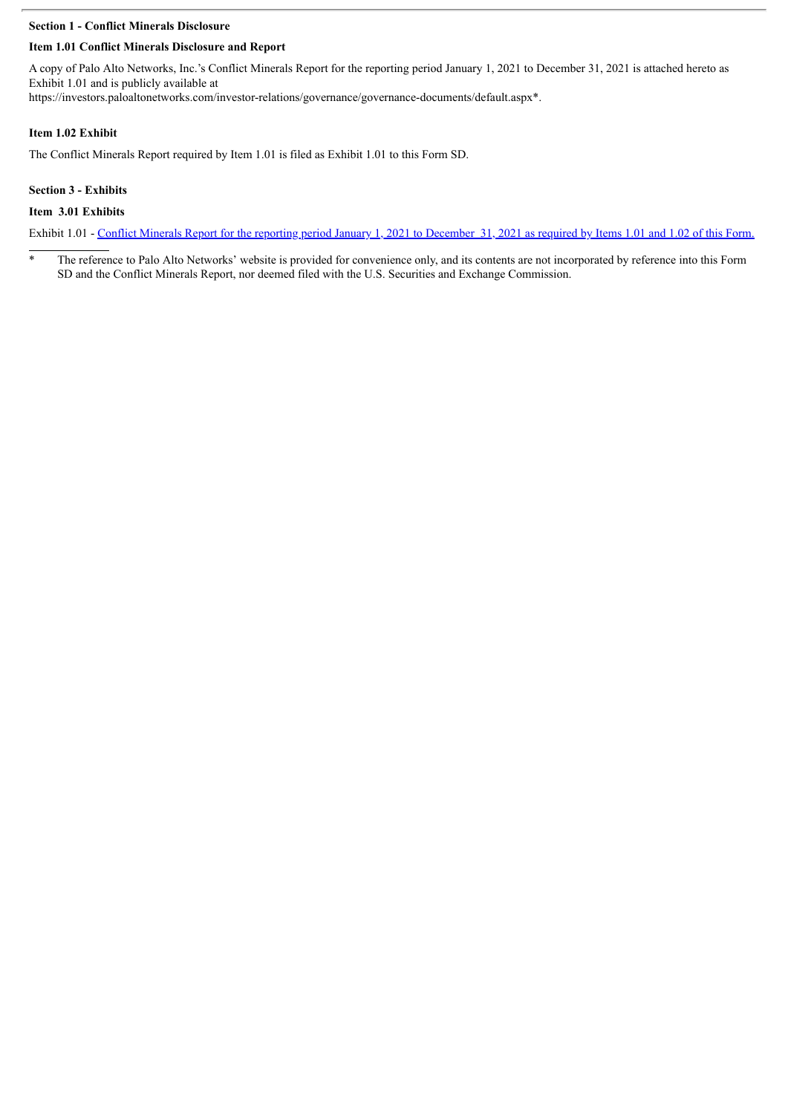## **Section 1 - Conflict Minerals Disclosure**

# **Item 1.01 Conflict Minerals Disclosure and Report**

A copy of Palo Alto Networks, Inc.'s Conflict Minerals Report for the reporting period January 1, 2021 to December 31, 2021 is attached hereto as Exhibit 1.01 and is publicly available at

https://investors.paloaltonetworks.com/investor-relations/governance/governance-documents/default.aspx\*.

#### **Item 1.02 Exhibit**

The Conflict Minerals Report required by Item 1.01 is filed as Exhibit 1.01 to this Form SD.

#### **Section 3 - Exhibits**

#### **Item 3.01 Exhibits**

Exhibit 1.01 - Conflict Minerals Report for the reporting period January 1, 2021 to [December](#page-3-0) 31, 2021 as required by Items 1.01 and 1.02 of this Form.

<sup>\*</sup> The reference to Palo Alto Networks' website is provided for convenience only, and its contents are not incorporated by reference into this Form SD and the Conflict Minerals Report, nor deemed filed with the U.S. Securities and Exchange Commission.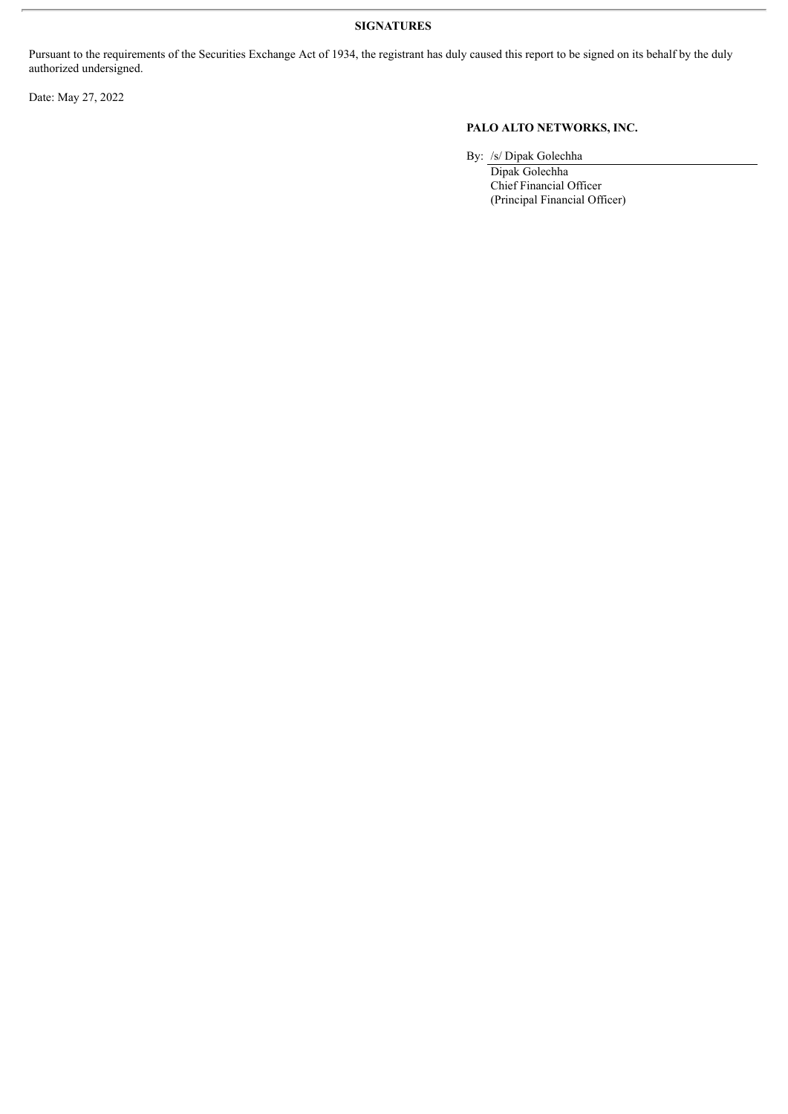Pursuant to the requirements of the Securities Exchange Act of 1934, the registrant has duly caused this report to be signed on its behalf by the duly authorized undersigned.

Date: May 27, 2022

# **PALO ALTO NETWORKS, INC.**

By: /s/ Dipak Golechha

Dipak Golechha Chief Financial Officer (Principal Financial Officer)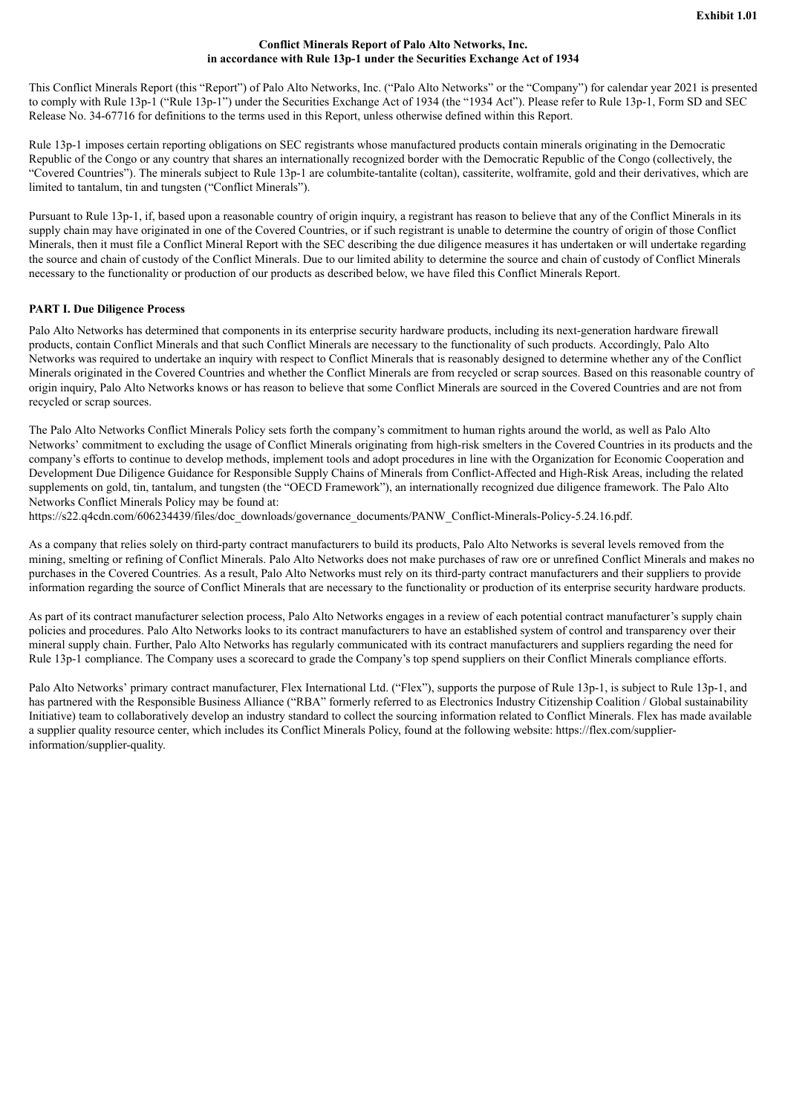#### **Conflict Minerals Report of Palo Alto Networks, Inc. in accordance with Rule 13p-1 under the Securities Exchange Act of 1934**

<span id="page-3-0"></span>This Conflict Minerals Report (this "Report") of Palo Alto Networks, Inc. ("Palo Alto Networks" or the "Company") for calendar year 2021 is presented to comply with Rule 13p-1 ("Rule 13p-1") under the Securities Exchange Act of 1934 (the "1934 Act"). Please refer to Rule 13p-1, Form SD and SEC Release No. 34-67716 for definitions to the terms used in this Report, unless otherwise defined within this Report.

Rule 13p-1 imposes certain reporting obligations on SEC registrants whose manufactured products contain minerals originating in the Democratic Republic of the Congo or any country that shares an internationally recognized border with the Democratic Republic of the Congo (collectively, the "Covered Countries"). The minerals subject to Rule 13p-1 are columbite-tantalite (coltan), cassiterite, wolframite, gold and their derivatives, which are limited to tantalum, tin and tungsten ("Conflict Minerals").

Pursuant to Rule 13p-1, if, based upon a reasonable country of origin inquiry, a registrant has reason to believe that any of the Conflict Minerals in its supply chain may have originated in one of the Covered Countries, or if such registrant is unable to determine the country of origin of those Conflict Minerals, then it must file a Conflict Mineral Report with the SEC describing the due diligence measures it has undertaken or will undertake regarding the source and chain of custody of the Conflict Minerals. Due to our limited ability to determine the source and chain of custody of Conflict Minerals necessary to the functionality or production of our products as described below, we have filed this Conflict Minerals Report.

## **PART I. Due Diligence Process**

Palo Alto Networks has determined that components in its enterprise security hardware products, including its next-generation hardware firewall products, contain Conflict Minerals and that such Conflict Minerals are necessary to the functionality of such products. Accordingly, Palo Alto Networks was required to undertake an inquiry with respect to Conflict Minerals that is reasonably designed to determine whether any of the Conflict Minerals originated in the Covered Countries and whether the Conflict Minerals are from recycled or scrap sources. Based on this reasonable country of origin inquiry, Palo Alto Networks knows or has reason to believe that some Conflict Minerals are sourced in the Covered Countries and are not from recycled or scrap sources.

The Palo Alto Networks Conflict Minerals Policy sets forth the company's commitment to human rights around the world, as well as Palo Alto Networks' commitment to excluding the usage of Conflict Minerals originating from high-risk smelters in the Covered Countries in its products and the company's efforts to continue to develop methods, implement tools and adopt procedures in line with the Organization for Economic Cooperation and Development Due Diligence Guidance for Responsible Supply Chains of Minerals from Conflict-Affected and High-Risk Areas, including the related supplements on gold, tin, tantalum, and tungsten (the "OECD Framework"), an internationally recognized due diligence framework. The Palo Alto Networks Conflict Minerals Policy may be found at:

https://s22.q4cdn.com/606234439/files/doc\_downloads/governance\_documents/PANW\_Conflict-Minerals-Policy-5.24.16.pdf.

As a company that relies solely on third-party contract manufacturers to build its products, Palo Alto Networks is several levels removed from the mining, smelting or refining of Conflict Minerals. Palo Alto Networks does not make purchases of raw ore or unrefined Conflict Minerals and makes no purchases in the Covered Countries. As a result, Palo Alto Networks must rely on its third-party contract manufacturers and their suppliers to provide information regarding the source of Conflict Minerals that are necessary to the functionality or production of its enterprise security hardware products.

As part of its contract manufacturer selection process, Palo Alto Networks engages in a review of each potential contract manufacturer's supply chain policies and procedures. Palo Alto Networks looks to its contract manufacturers to have an established system of control and transparency over their mineral supply chain. Further, Palo Alto Networks has regularly communicated with its contract manufacturers and suppliers regarding the need for Rule 13p-1 compliance. The Company uses a scorecard to grade the Company's top spend suppliers on their Conflict Minerals compliance efforts.

Palo Alto Networks' primary contract manufacturer, Flex International Ltd. ("Flex"), supports the purpose of Rule 13p-1, is subject to Rule 13p-1, and has partnered with the Responsible Business Alliance ("RBA" formerly referred to as Electronics Industry Citizenship Coalition / Global sustainability Initiative) team to collaboratively develop an industry standard to collect the sourcing information related to Conflict Minerals. Flex has made available a supplier quality resource center, which includes its Conflict Minerals Policy, found at the following website: https://flex.com/supplierinformation/supplier-quality.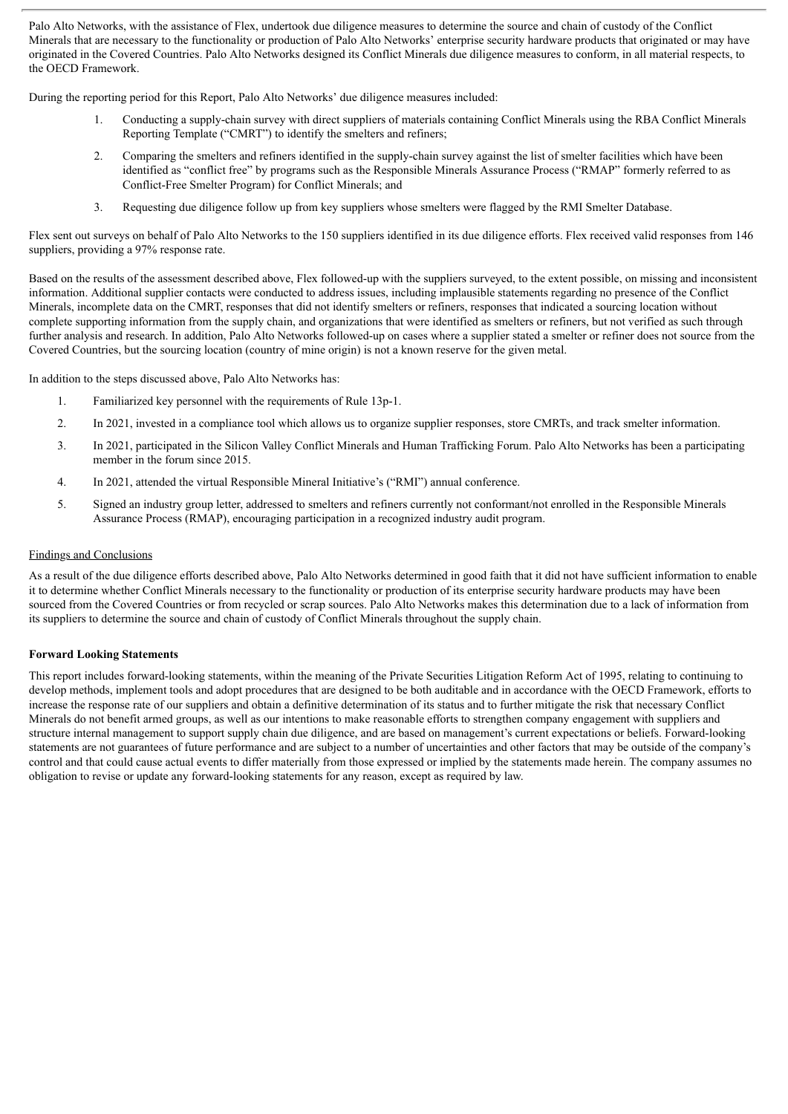Palo Alto Networks, with the assistance of Flex, undertook due diligence measures to determine the source and chain of custody of the Conflict Minerals that are necessary to the functionality or production of Palo Alto Networks' enterprise security hardware products that originated or may have originated in the Covered Countries. Palo Alto Networks designed its Conflict Minerals due diligence measures to conform, in all material respects, to the OECD Framework.

During the reporting period for this Report, Palo Alto Networks' due diligence measures included:

- 1. Conducting a supply-chain survey with direct suppliers of materials containing Conflict Minerals using the RBA Conflict Minerals Reporting Template ("CMRT") to identify the smelters and refiners;
- 2. Comparing the smelters and refiners identified in the supply-chain survey against the list of smelter facilities which have been identified as "conflict free" by programs such as the Responsible Minerals Assurance Process ("RMAP" formerly referred to as Conflict-Free Smelter Program) for Conflict Minerals; and
- 3. Requesting due diligence follow up from key suppliers whose smelters were flagged by the RMI Smelter Database.

Flex sent out surveys on behalf of Palo Alto Networks to the 150 suppliers identified in its due diligence efforts. Flex received valid responses from 146 suppliers, providing a 97% response rate.

Based on the results of the assessment described above, Flex followed-up with the suppliers surveyed, to the extent possible, on missing and inconsistent information. Additional supplier contacts were conducted to address issues, including implausible statements regarding no presence of the Conflict Minerals, incomplete data on the CMRT, responses that did not identify smelters or refiners, responses that indicated a sourcing location without complete supporting information from the supply chain, and organizations that were identified as smelters or refiners, but not verified as such through further analysis and research. In addition, Palo Alto Networks followed-up on cases where a supplier stated a smelter or refiner does not source from the Covered Countries, but the sourcing location (country of mine origin) is not a known reserve for the given metal.

In addition to the steps discussed above, Palo Alto Networks has:

- 1. Familiarized key personnel with the requirements of Rule 13p-1.
- 2. In 2021, invested in a compliance tool which allows us to organize supplier responses, store CMRTs, and track smelter information.
- 3. In 2021, participated in the Silicon Valley Conflict Minerals and Human Trafficking Forum. Palo Alto Networks has been a participating member in the forum since 2015.
- 4. In 2021, attended the virtual Responsible Mineral Initiative's ("RMI") annual conference.
- 5. Signed an industry group letter, addressed to smelters and refiners currently not conformant/not enrolled in the Responsible Minerals Assurance Process (RMAP), encouraging participation in a recognized industry audit program.

#### Findings and Conclusions

As a result of the due diligence efforts described above, Palo Alto Networks determined in good faith that it did not have sufficient information to enable it to determine whether Conflict Minerals necessary to the functionality or production of its enterprise security hardware products may have been sourced from the Covered Countries or from recycled or scrap sources. Palo Alto Networks makes this determination due to a lack of information from its suppliers to determine the source and chain of custody of Conflict Minerals throughout the supply chain.

#### **Forward Looking Statements**

This report includes forward-looking statements, within the meaning of the Private Securities Litigation Reform Act of 1995, relating to continuing to develop methods, implement tools and adopt procedures that are designed to be both auditable and in accordance with the OECD Framework, efforts to increase the response rate of our suppliers and obtain a definitive determination of its status and to further mitigate the risk that necessary Conflict Minerals do not benefit armed groups, as well as our intentions to make reasonable efforts to strengthen company engagement with suppliers and structure internal management to support supply chain due diligence, and are based on management's current expectations or beliefs. Forward-looking statements are not guarantees of future performance and are subject to a number of uncertainties and other factors that may be outside of the company's control and that could cause actual events to differ materially from those expressed or implied by the statements made herein. The company assumes no obligation to revise or update any forward-looking statements for any reason, except as required by law.